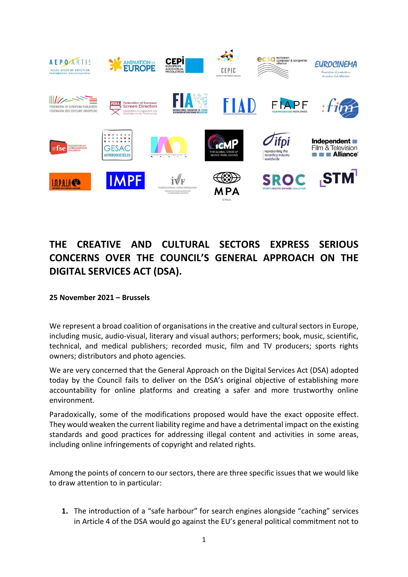

## **THE CREATIVE AND CULTURAL SECTORS EXPRESS SERIOUS CONCERNS OVER THE COUNCIL'S GENERAL APPROACH ON THE DIGITAL SERVICES ACT (DSA).**

**25 November 2021 – Brussels**

We represent a broad coalition of organisations in the creative and cultural sectors in Europe, including music, audio-visual, literary and visual authors; performers; book, music, scientific, technical, and medical publishers; recorded music, film and TV producers; sports rights owners; distributors and photo agencies.

We are very concerned that the General Approach on the Digital Services Act (DSA) adopted today by the Council fails to deliver on the DSA's original objective of establishing more accountability for online platforms and creating a safer and more trustworthy online environment.

Paradoxically, some of the modifications proposed would have the exact opposite effect. They would weaken the current liability regime and have a detrimental impact on the existing standards and good practices for addressing illegal content and activities in some areas, including online infringements of copyright and related rights.

Among the points of concern to our sectors, there are three specific issues that we would like to draw attention to in particular:

**1.** The introduction of a "safe harbour" for search engines alongside "caching" services in Article 4 of the DSA would go against the EU's general political commitment not to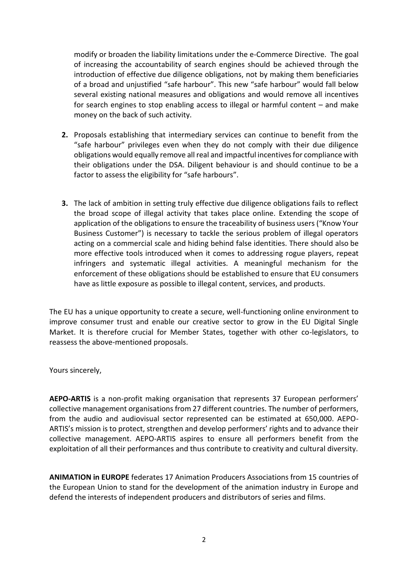modify or broaden the liability limitations under the e-Commerce Directive. The goal of increasing the accountability of search engines should be achieved through the introduction of effective due diligence obligations, not by making them beneficiaries of a broad and unjustified "safe harbour". This new "safe harbour" would fall below several existing national measures and obligations and would remove all incentives for search engines to stop enabling access to illegal or harmful content – and make money on the back of such activity.

- **2.** Proposals establishing that intermediary services can continue to benefit from the "safe harbour" privileges even when they do not comply with their due diligence obligations would equally remove all real and impactful incentives for compliance with their obligations under the DSA. Diligent behaviour is and should continue to be a factor to assess the eligibility for "safe harbours".
- **3.** The lack of ambition in setting truly effective due diligence obligations fails to reflect the broad scope of illegal activity that takes place online. Extending the scope of application of the obligations to ensure the traceability of business users ("Know Your Business Customer") is necessary to tackle the serious problem of illegal operators acting on a commercial scale and hiding behind false identities. There should also be more effective tools introduced when it comes to addressing rogue players, repeat infringers and systematic illegal activities. A meaningful mechanism for the enforcement of these obligations should be established to ensure that EU consumers have as little exposure as possible to illegal content, services, and products.

The EU has a unique opportunity to create a secure, well-functioning online environment to improve consumer trust and enable our creative sector to grow in the EU Digital Single Market. It is therefore crucial for Member States, together with other co-legislators, to reassess the above-mentioned proposals.

Yours sincerely,

**AEPO-ARTIS** is a non-profit making organisation that represents 37 European performers' collective management organisations from 27 different countries. The number of performers, from the audio and audiovisual sector represented can be estimated at 650,000. AEPO-ARTIS's mission is to protect, strengthen and develop performers' rights and to advance their collective management. AEPO-ARTIS aspires to ensure all performers benefit from the exploitation of all their performances and thus contribute to creativity and cultural diversity.

**ANIMATION in EUROPE** federates 17 Animation Producers Associations from 15 countries of the European Union to stand for the development of the animation industry in Europe and defend the interests of independent producers and distributors of series and films.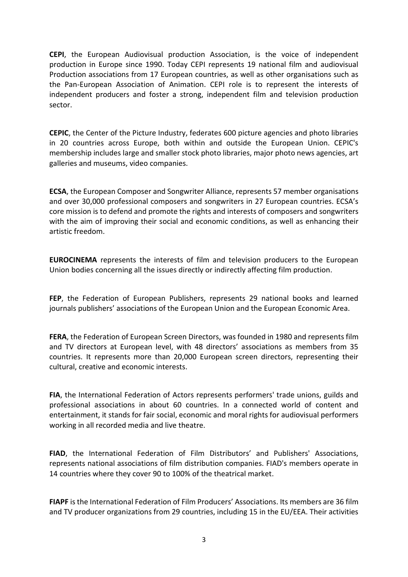**CEPI**, the European Audiovisual production Association, is the voice of independent production in Europe since 1990. Today CEPI represents 19 national film and audiovisual Production associations from 17 European countries, as well as other organisations such as the Pan-European Association of Animation. CEPI role is to represent the interests of independent producers and foster a strong, independent film and television production sector.

**CEPIC**, the Center of the Picture Industry, federates 600 picture agencies and photo libraries in 20 countries across Europe, both within and outside the European Union. CEPIC's membership includes large and smaller stock photo libraries, major photo news agencies, art galleries and museums, video companies.

**ECSA**, the European Composer and Songwriter Alliance, represents 57 member organisations and over 30,000 professional composers and songwriters in 27 European countries. ECSA's core mission is to defend and promote the rights and interests of composers and songwriters with the aim of improving their social and economic conditions, as well as enhancing their artistic freedom.

**EUROCINEMA** represents the interests of film and television producers to the European Union bodies concerning all the issues directly or indirectly affecting film production.

**FEP**, the Federation of European Publishers, represents 29 national books and learned journals publishers' associations of the European Union and the European Economic Area.

**FERA**, the Federation of European Screen Directors, was founded in 1980 and represents film and TV directors at European level, with 48 directors' associations as members from 35 countries. It represents more than 20,000 European screen directors, representing their cultural, creative and economic interests.

**FIA**, the International Federation of Actors represents performers' trade unions, guilds and professional associations in about 60 countries. In a connected world of content and entertainment, it stands for fair social, economic and moral rights for audiovisual performers working in all recorded media and live theatre.

**FIAD**, the International Federation of Film Distributors' and Publishers' Associations, represents national associations of film distribution companies. FIAD's members operate in 14 countries where they cover 90 to 100% of the theatrical market.

**FIAPF** is the International Federation of Film Producers' Associations. Its members are 36 film and TV producer organizations from 29 countries, including 15 in the EU/EEA. Their activities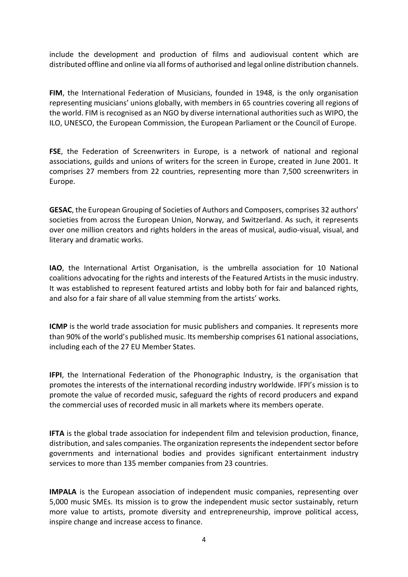include the development and production of films and audiovisual content which are distributed offline and online via all forms of authorised and legal online distribution channels.

**FIM**, the International Federation of Musicians, founded in 1948, is the only organisation representing musicians' unions globally, with members in 65 countries covering all regions of the world. FIM is recognised as an NGO by diverse international authorities such as WIPO, the ILO, UNESCO, the European Commission, the European Parliament or the Council of Europe.

**FSE**, the Federation of Screenwriters in Europe, is a network of national and regional associations, guilds and unions of writers for the screen in Europe, created in June 2001. It comprises 27 members from 22 countries, representing more than 7,500 screenwriters in Europe.

**GESAC**, the European Grouping of Societies of Authors and Composers, comprises 32 authors' societies from across the European Union, Norway, and Switzerland. As such, it represents over one million creators and rights holders in the areas of musical, audio-visual, visual, and literary and dramatic works.

**IAO**, the International Artist Organisation, is the umbrella association for 10 National coalitions advocating for the rights and interests of the Featured Artists in the music industry. It was established to represent featured artists and lobby both for fair and balanced rights, and also for a fair share of all value stemming from the artists' works.

**ICMP** is the world trade association for music publishers and companies. It represents more than 90% of the world's published music. Its membership comprises 61 national associations, including each of the 27 EU Member States.

**IFPI**, the International Federation of the Phonographic Industry, is the organisation that promotes the interests of the international recording industry worldwide. IFPI's mission is to promote the value of recorded music, safeguard the rights of record producers and expand the commercial uses of recorded music in all markets where its members operate.

**IFTA** is the global trade association for independent film and television production, finance, distribution, and sales companies. The organization represents the independent sector before governments and international bodies and provides significant entertainment industry services to more than 135 member companies from 23 countries.

**IMPALA** is the European association of independent music companies, representing over 5,000 music SMEs. Its mission is to grow the independent music sector sustainably, return more value to artists, promote diversity and entrepreneurship, improve political access, inspire change and increase access to finance.